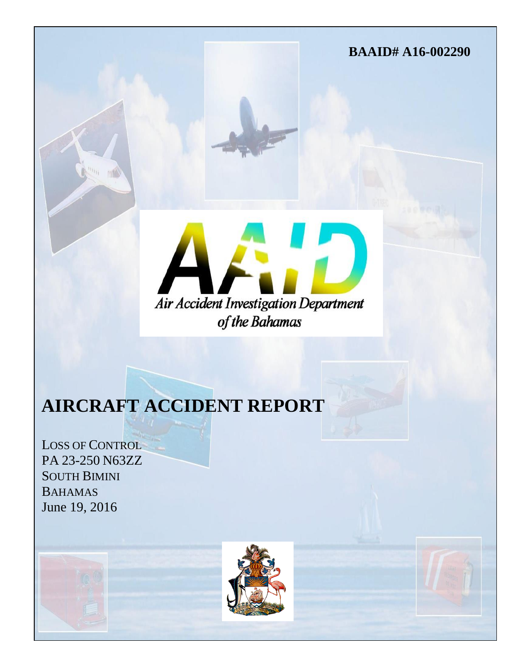

# **AIRCRAFT ACCIDENT REPORT**

LOSS OF CONTROL PA 23-250 N63ZZ SOUTH BIMINI BAHAMAS June 19, 2016





**BAAID# A16-002290**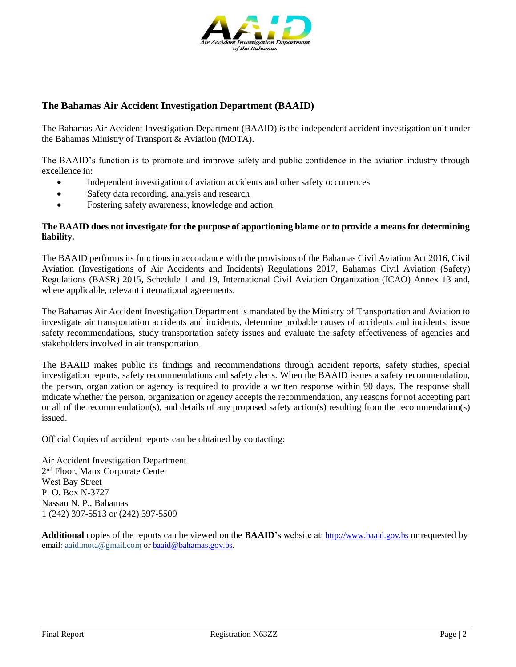

#### **The Bahamas Air Accident Investigation Department (BAAID)**

The Bahamas Air Accident Investigation Department (BAAID) is the independent accident investigation unit under the Bahamas Ministry of Transport & Aviation (MOTA).

The BAAID's function is to promote and improve safety and public confidence in the aviation industry through excellence in:

- Independent investigation of aviation accidents and other safety occurrences
- Safety data recording, analysis and research
- Fostering safety awareness, knowledge and action.

#### **The BAAID does not investigate for the purpose of apportioning blame or to provide a means for determining liability.**

The BAAID performs its functions in accordance with the provisions of the Bahamas Civil Aviation Act 2016, Civil Aviation (Investigations of Air Accidents and Incidents) Regulations 2017, Bahamas Civil Aviation (Safety) Regulations (BASR) 2015, Schedule 1 and 19, International Civil Aviation Organization (ICAO) Annex 13 and, where applicable, relevant international agreements.

The Bahamas Air Accident Investigation Department is mandated by the Ministry of Transportation and Aviation to investigate air transportation accidents and incidents, determine probable causes of accidents and incidents, issue safety recommendations, study transportation safety issues and evaluate the safety effectiveness of agencies and stakeholders involved in air transportation.

The BAAID makes public its findings and recommendations through accident reports, safety studies, special investigation reports, safety recommendations and safety alerts. When the BAAID issues a safety recommendation, the person, organization or agency is required to provide a written response within 90 days. The response shall indicate whether the person, organization or agency accepts the recommendation, any reasons for not accepting part or all of the recommendation(s), and details of any proposed safety action(s) resulting from the recommendation(s) issued.

Official Copies of accident reports can be obtained by contacting:

Air Accident Investigation Department 2 nd Floor, Manx Corporate Center West Bay Street P. O. Box N-3727 Nassau N. P., Bahamas 1 (242) 397-5513 or (242) 397-5509

**Additional** copies of the reports can be viewed on the **BAAID**'s website at: [http://www.baaid.gov.bs](http://www.baaid.gov.bs/) or requested by email: [aaid.mota@gmail.com](mailto:aaid.mota@gmail.com) or [baaid@bahamas.gov.bs.](mailto:baaid@bahamas.gov.bs)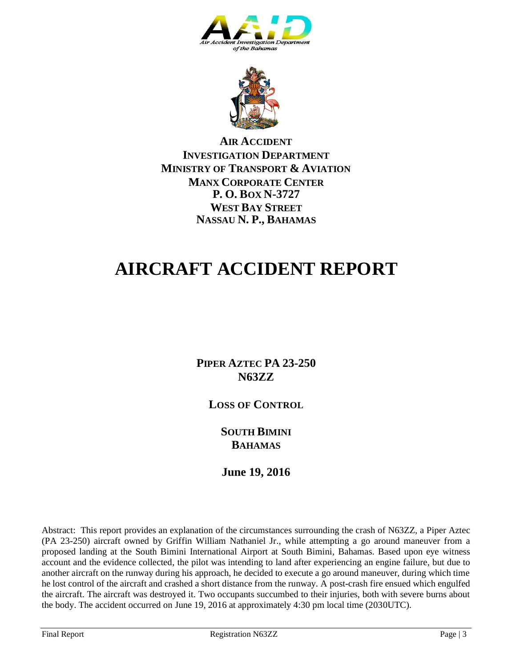



**AIR ACCIDENT INVESTIGATION DEPARTMENT MINISTRY OF TRANSPORT & AVIATION MANX CORPORATE CENTER P. O. BOX N-3727 WEST BAY STREET NASSAU N. P., BAHAMAS**

# **AIRCRAFT ACCIDENT REPORT**

**PIPER AZTEC PA 23-250 N63ZZ**

**LOSS OF CONTROL** 

**SOUTH BIMINI BAHAMAS**

**June 19, 2016**

Abstract: This report provides an explanation of the circumstances surrounding the crash of N63ZZ, a Piper Aztec (PA 23-250) aircraft owned by Griffin William Nathaniel Jr., while attempting a go around maneuver from a proposed landing at the South Bimini International Airport at South Bimini, Bahamas. Based upon eye witness account and the evidence collected, the pilot was intending to land after experiencing an engine failure, but due to another aircraft on the runway during his approach, he decided to execute a go around maneuver, during which time he lost control of the aircraft and crashed a short distance from the runway. A post-crash fire ensued which engulfed the aircraft. The aircraft was destroyed it. Two occupants succumbed to their injuries, both with severe burns about the body. The accident occurred on June 19, 2016 at approximately 4:30 pm local time (2030UTC).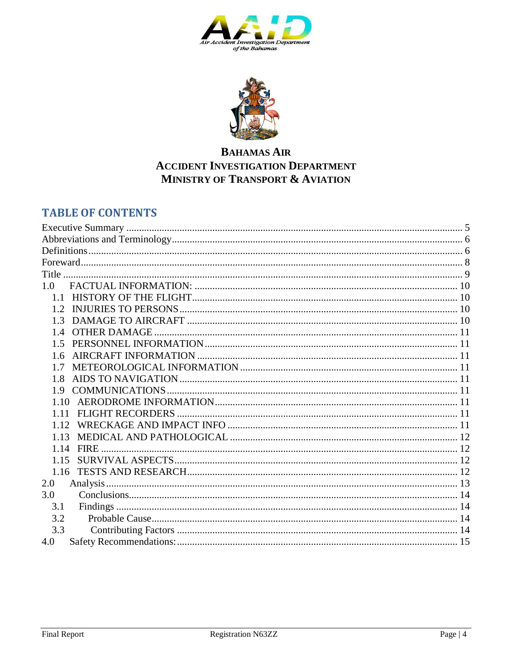



# **BAHAMAS AIR ACCIDENT INVESTIGATION DEPARTMENT MINISTRY OF TRANSPORT & AVIATION**

# **TABLE OF CONTENTS**

| 1.0           |  |
|---------------|--|
|               |  |
|               |  |
|               |  |
| 1.4           |  |
|               |  |
| $1.6^{\circ}$ |  |
|               |  |
| 18            |  |
| $1.9-1$       |  |
|               |  |
| 1.11          |  |
| 1.12          |  |
| 1.13          |  |
|               |  |
| 1.15          |  |
|               |  |
| 2.0           |  |
| 3.0           |  |
| 3.1           |  |
| 3.2           |  |
| 3.3           |  |
| 4.0           |  |
|               |  |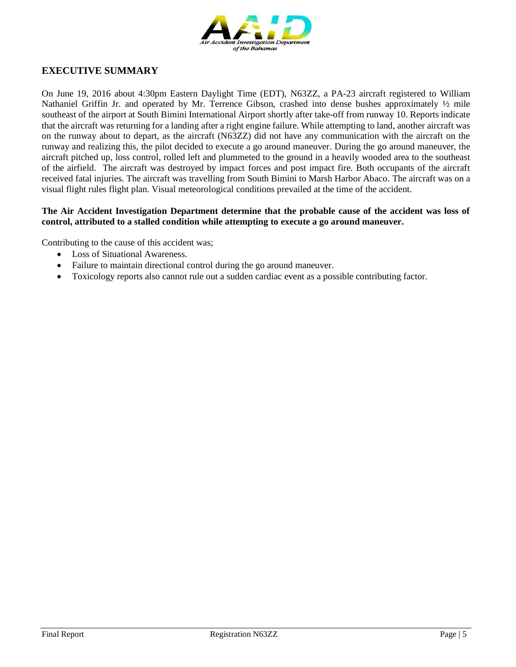

## <span id="page-4-0"></span>**EXECUTIVE SUMMARY**

On June 19, 2016 about 4:30pm Eastern Daylight Time (EDT), N63ZZ, a PA-23 aircraft registered to William Nathaniel Griffin Jr. and operated by Mr. Terrence Gibson, crashed into dense bushes approximately  $\frac{1}{2}$  mile southeast of the airport at South Bimini International Airport shortly after take-off from runway 10. Reports indicate that the aircraft was returning for a landing after a right engine failure. While attempting to land, another aircraft was on the runway about to depart, as the aircraft (N63ZZ) did not have any communication with the aircraft on the runway and realizing this, the pilot decided to execute a go around maneuver. During the go around maneuver, the aircraft pitched up, loss control, rolled left and plummeted to the ground in a heavily wooded area to the southeast of the airfield. The aircraft was destroyed by impact forces and post impact fire. Both occupants of the aircraft received fatal injuries. The aircraft was travelling from South Bimini to Marsh Harbor Abaco. The aircraft was on a visual flight rules flight plan. Visual meteorological conditions prevailed at the time of the accident.

#### **The Air Accident Investigation Department determine that the probable cause of the accident was loss of control, attributed to a stalled condition while attempting to execute a go around maneuver.**

Contributing to the cause of this accident was;

- Loss of Situational Awareness.
- Failure to maintain directional control during the go around maneuver.
- Toxicology reports also cannot rule out a sudden cardiac event as a possible contributing factor.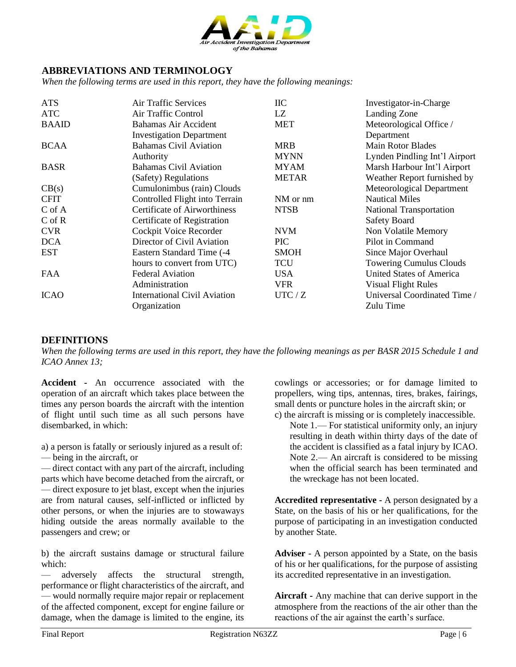

#### <span id="page-5-0"></span>**ABBREVIATIONS AND TERMINOLOGY**

*When the following terms are used in this report, they have the following meanings:*

| <b>ATS</b>   | Air Traffic Services                | <b>IIC</b>   | Investigator-in-Charge          |
|--------------|-------------------------------------|--------------|---------------------------------|
| <b>ATC</b>   | Air Traffic Control                 | LZ           | Landing Zone                    |
| <b>BAAID</b> | Bahamas Air Accident                | MET          | Meteorological Office /         |
|              | <b>Investigation Department</b>     |              | Department                      |
| <b>BCAA</b>  | <b>Bahamas Civil Aviation</b>       | MRB          | <b>Main Rotor Blades</b>        |
|              | Authority                           | <b>MYNN</b>  | Lynden Pindling Int'l Airport   |
| <b>BASR</b>  | <b>Bahamas Civil Aviation</b>       | <b>MYAM</b>  | Marsh Harbour Int'l Airport     |
|              | (Safety) Regulations                | <b>METAR</b> | Weather Report furnished by     |
| CB(s)        | Cumulonimbus (rain) Clouds          |              | Meteorological Department       |
| <b>CFIT</b>  | Controlled Flight into Terrain      | NM or nm     | <b>Nautical Miles</b>           |
| $C$ of $A$   | <b>Certificate of Airworthiness</b> | <b>NTSB</b>  | <b>National Transportation</b>  |
| $C$ of $R$   | Certificate of Registration         |              | <b>Safety Board</b>             |
| <b>CVR</b>   | Cockpit Voice Recorder              | <b>NVM</b>   | Non Volatile Memory             |
| <b>DCA</b>   | Director of Civil Aviation          | PIC          | Pilot in Command                |
| <b>EST</b>   | Eastern Standard Time (-4           | SMOH         | Since Major Overhaul            |
|              | hours to convert from UTC)          | TCU          | <b>Towering Cumulus Clouds</b>  |
| FAA          | <b>Federal Aviation</b>             | <b>USA</b>   | <b>United States of America</b> |
|              | Administration                      | VFR          | <b>Visual Flight Rules</b>      |
| <b>ICAO</b>  | <b>International Civil Aviation</b> | UTC / Z      | Universal Coordinated Time /    |
|              | Organization                        |              | Zulu Time                       |

#### <span id="page-5-1"></span>**DEFINITIONS**

When the following terms are used in this report, they have the following meanings as per BASR 2015 Schedule 1 and *ICAO Annex 13;*

**Accident -** An occurrence associated with the operation of an aircraft which takes place between the times any person boards the aircraft with the intention of flight until such time as all such persons have disembarked, in which:

a) a person is fatally or seriously injured as a result of: — being in the aircraft, or

— direct contact with any part of the aircraft, including parts which have become detached from the aircraft, or — direct exposure to jet blast, except when the injuries are from natural causes, self-inflicted or inflicted by other persons, or when the injuries are to stowaways hiding outside the areas normally available to the passengers and crew; or

b) the aircraft sustains damage or structural failure which:

— adversely affects the structural strength, performance or flight characteristics of the aircraft, and — would normally require major repair or replacement of the affected component, except for engine failure or damage, when the damage is limited to the engine, its

cowlings or accessories; or for damage limited to propellers, wing tips, antennas, tires, brakes, fairings, small dents or puncture holes in the aircraft skin; or c) the aircraft is missing or is completely inaccessible.

Note 1.— For statistical uniformity only, an injury resulting in death within thirty days of the date of the accident is classified as a fatal injury by ICAO. Note 2.— An aircraft is considered to be missing when the official search has been terminated and the wreckage has not been located.

**Accredited representative -** A person designated by a State, on the basis of his or her qualifications, for the purpose of participating in an investigation conducted by another State.

**Adviser** - A person appointed by a State, on the basis of his or her qualifications, for the purpose of assisting its accredited representative in an investigation.

**Aircraft -** Any machine that can derive support in the atmosphere from the reactions of the air other than the reactions of the air against the earth's surface.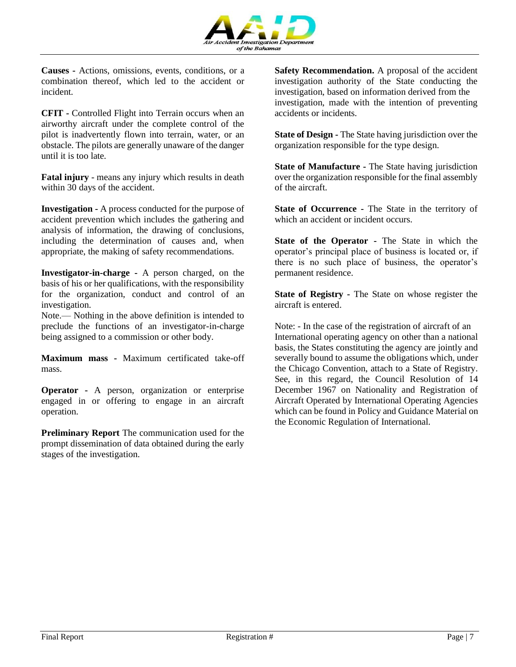

**Causes -** Actions, omissions, events, conditions, or a combination thereof, which led to the accident or incident.

**CFIT -** Controlled Flight into Terrain occurs when an airworthy aircraft under the complete control of the pilot is inadvertently flown into terrain, water, or an obstacle. The pilots are generally unaware of the danger until it is too late.

**Fatal injury** - means any injury which results in death within 30 days of the accident.

**Investigation -** A process conducted for the purpose of accident prevention which includes the gathering and analysis of information, the drawing of conclusions, including the determination of causes and, when appropriate, the making of safety recommendations.

**Investigator-in-charge -** A person charged, on the basis of his or her qualifications, with the responsibility for the organization, conduct and control of an investigation.

Note.— Nothing in the above definition is intended to preclude the functions of an investigator-in-charge being assigned to a commission or other body.

**Maximum mass -** Maximum certificated take-off mass.

**Operator -** A person, organization or enterprise engaged in or offering to engage in an aircraft operation.

**Preliminary Report** The communication used for the prompt dissemination of data obtained during the early stages of the investigation.

**Safety Recommendation.** A proposal of the accident investigation authority of the State conducting the investigation, based on information derived from the investigation, made with the intention of preventing accidents or incidents.

**State of Design -** The State having jurisdiction over the organization responsible for the type design.

**State of Manufacture -** The State having jurisdiction over the organization responsible for the final assembly of the aircraft.

**State of Occurrence -** The State in the territory of which an accident or incident occurs.

**State of the Operator -** The State in which the operator's principal place of business is located or, if there is no such place of business, the operator's permanent residence.

**State of Registry -** The State on whose register the aircraft is entered.

Note: - In the case of the registration of aircraft of an International operating agency on other than a national basis, the States constituting the agency are jointly and severally bound to assume the obligations which, under the Chicago Convention, attach to a State of Registry. See, in this regard, the Council Resolution of 14 December 1967 on Nationality and Registration of Aircraft Operated by International Operating Agencies which can be found in Policy and Guidance Material on the Economic Regulation of International.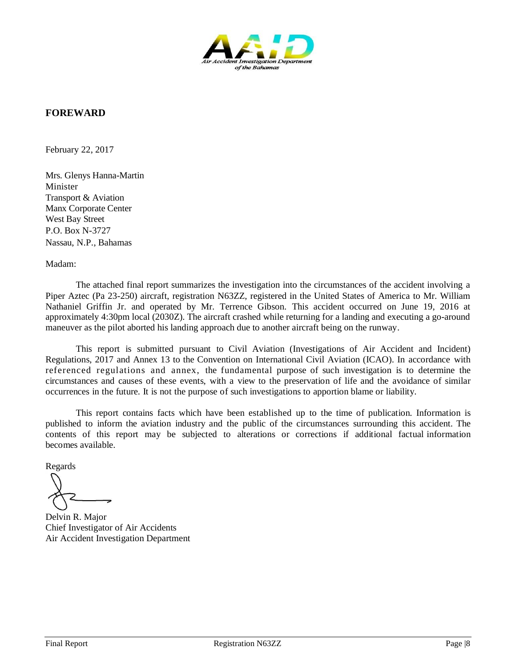

### <span id="page-7-0"></span>**FOREWARD**

February 22, 2017

Mrs. Glenys Hanna-Martin Minister Transport & Aviation Manx Corporate Center West Bay Street P.O. Box N-3727 Nassau, N.P., Bahamas

Madam:

The attached final report summarizes the investigation into the circumstances of the accident involving a Piper Aztec (Pa 23-250) aircraft, registration N63ZZ, registered in the United States of America to Mr. William Nathaniel Griffin Jr. and operated by Mr. Terrence Gibson. This accident occurred on June 19, 2016 at approximately 4:30pm local (2030Z). The aircraft crashed while returning for a landing and executing a go-around maneuver as the pilot aborted his landing approach due to another aircraft being on the runway.

This report is submitted pursuant to Civil Aviation (Investigations of Air Accident and Incident) Regulations, 2017 and Annex 13 to the Convention on International Civil Aviation (ICAO). In accordance with referenced regulations and annex, the fundamental purpose of such investigation is to determine the circumstances and causes of these events, with a view to the preservation of life and the avoidance of similar occurrences in the future. It is not the purpose of such investigations to apportion blame or liability.

This report contains facts which have been established up to the time of publication. Information is published to inform the aviation industry and the public of the circumstances surrounding this accident. The contents of this report may be subjected to alterations or corrections if additional factual information becomes available.

Regards

Delvin R. Major Chief Investigator of Air Accidents Air Accident Investigation Department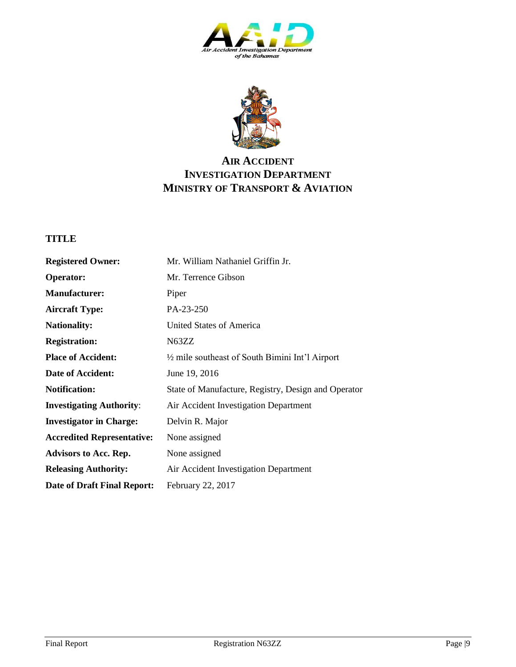



# **AIR ACCIDENT INVESTIGATION DEPARTMENT MINISTRY OF TRANSPORT & AVIATION**

# <span id="page-8-0"></span>**TITLE**

| <b>Registered Owner:</b>           | Mr. William Nathaniel Griffin Jr.                          |  |  |
|------------------------------------|------------------------------------------------------------|--|--|
| <b>Operator:</b>                   | Mr. Terrence Gibson                                        |  |  |
| <b>Manufacturer:</b>               | Piper                                                      |  |  |
| <b>Aircraft Type:</b>              | PA-23-250                                                  |  |  |
| <b>Nationality:</b>                | United States of America                                   |  |  |
| <b>Registration:</b>               | N63ZZ                                                      |  |  |
| <b>Place of Accident:</b>          | $\frac{1}{2}$ mile southeast of South Bimini Int'l Airport |  |  |
| Date of Accident:                  | June 19, 2016                                              |  |  |
| <b>Notification:</b>               | State of Manufacture, Registry, Design and Operator        |  |  |
| <b>Investigating Authority:</b>    | Air Accident Investigation Department                      |  |  |
| <b>Investigator in Charge:</b>     | Delvin R. Major                                            |  |  |
| <b>Accredited Representative:</b>  | None assigned                                              |  |  |
| Advisors to Acc. Rep.              | None assigned                                              |  |  |
| <b>Releasing Authority:</b>        | Air Accident Investigation Department                      |  |  |
| <b>Date of Draft Final Report:</b> | February 22, 2017                                          |  |  |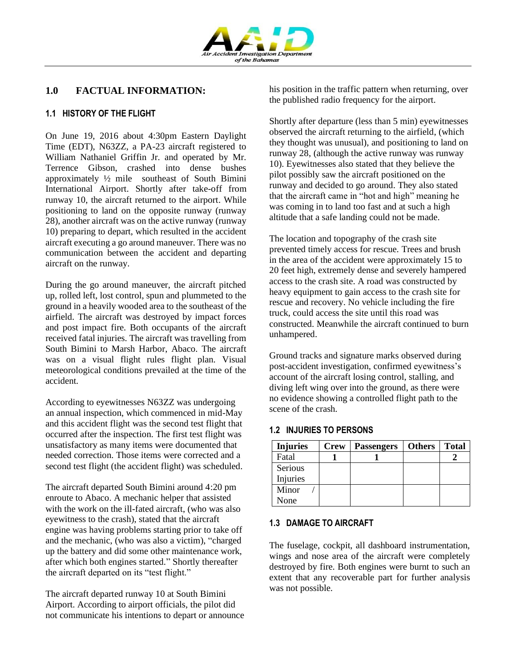

## <span id="page-9-0"></span>**1.0 FACTUAL INFORMATION:**

#### <span id="page-9-1"></span>**1.1 HISTORY OF THE FLIGHT**

On June 19, 2016 about 4:30pm Eastern Daylight Time (EDT), N63ZZ, a PA-23 aircraft registered to William Nathaniel Griffin Jr. and operated by Mr. Terrence Gibson, crashed into dense bushes approximately ½ mile southeast of South Bimini International Airport. Shortly after take-off from runway 10, the aircraft returned to the airport. While positioning to land on the opposite runway (runway 28), another aircraft was on the active runway (runway 10) preparing to depart, which resulted in the accident aircraft executing a go around maneuver. There was no communication between the accident and departing aircraft on the runway.

During the go around maneuver, the aircraft pitched up, rolled left, lost control, spun and plummeted to the ground in a heavily wooded area to the southeast of the airfield. The aircraft was destroyed by impact forces and post impact fire. Both occupants of the aircraft received fatal injuries. The aircraft was travelling from South Bimini to Marsh Harbor, Abaco. The aircraft was on a visual flight rules flight plan. Visual meteorological conditions prevailed at the time of the accident.

According to eyewitnesses N63ZZ was undergoing an annual inspection, which commenced in mid-May and this accident flight was the second test flight that occurred after the inspection. The first test flight was unsatisfactory as many items were documented that needed correction. Those items were corrected and a second test flight (the accident flight) was scheduled.

The aircraft departed South Bimini around 4:20 pm enroute to Abaco. A mechanic helper that assisted with the work on the ill-fated aircraft, (who was also eyewitness to the crash), stated that the aircraft engine was having problems starting prior to take off and the mechanic, (who was also a victim), "charged up the battery and did some other maintenance work, after which both engines started." Shortly thereafter the aircraft departed on its "test flight."

The aircraft departed runway 10 at South Bimini Airport. According to airport officials, the pilot did not communicate his intentions to depart or announce his position in the traffic pattern when returning, over the published radio frequency for the airport.

Shortly after departure (less than 5 min) eyewitnesses observed the aircraft returning to the airfield, (which they thought was unusual), and positioning to land on runway 28, (although the active runway was runway 10). Eyewitnesses also stated that they believe the pilot possibly saw the aircraft positioned on the runway and decided to go around. They also stated that the aircraft came in "hot and high" meaning he was coming in to land too fast and at such a high altitude that a safe landing could not be made.

The location and topography of the crash site prevented timely access for rescue. Trees and brush in the area of the accident were approximately 15 to 20 feet high, extremely dense and severely hampered access to the crash site. A road was constructed by heavy equipment to gain access to the crash site for rescue and recovery. No vehicle including the fire truck, could access the site until this road was constructed. Meanwhile the aircraft continued to burn unhampered.

Ground tracks and signature marks observed during post-accident investigation, confirmed eyewitness's account of the aircraft losing control, stalling, and diving left wing over into the ground, as there were no evidence showing a controlled flight path to the scene of the crash.

#### <span id="page-9-2"></span>**1.2 INJURIES TO PERSONS**

| <b>Injuries</b> | <b>Crew</b> | <b>Passengers</b> | <b>Others</b> | <b>Total</b> |
|-----------------|-------------|-------------------|---------------|--------------|
| Fatal           |             |                   |               |              |
| Serious         |             |                   |               |              |
| Injuries        |             |                   |               |              |
| Minor           |             |                   |               |              |
| None            |             |                   |               |              |

#### <span id="page-9-3"></span>**1.3 DAMAGE TO AIRCRAFT**

The fuselage, cockpit, all dashboard instrumentation, wings and nose area of the aircraft were completely destroyed by fire. Both engines were burnt to such an extent that any recoverable part for further analysis was not possible.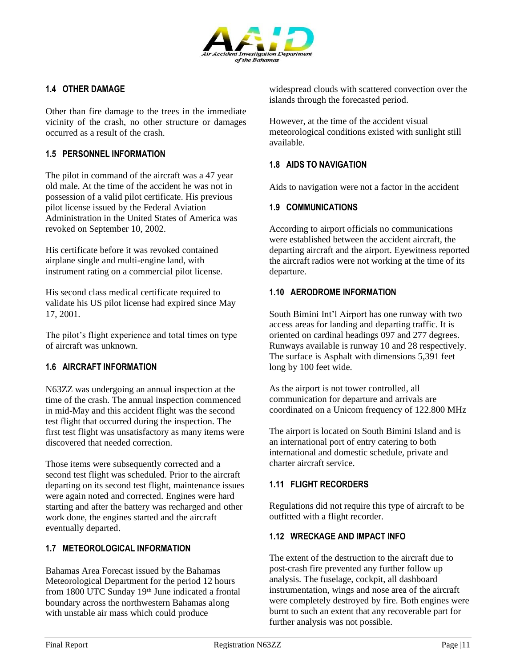

#### <span id="page-10-0"></span>**1.4 OTHER DAMAGE**

Other than fire damage to the trees in the immediate vicinity of the crash, no other structure or damages occurred as a result of the crash.

#### <span id="page-10-1"></span>**1.5 PERSONNEL INFORMATION**

The pilot in command of the aircraft was a 47 year old male. At the time of the accident he was not in possession of a valid pilot certificate. His previous pilot license issued by the Federal Aviation Administration in the United States of America was revoked on September 10, 2002.

His certificate before it was revoked contained airplane single and multi-engine land, with instrument rating on a commercial pilot license.

His second class medical certificate required to validate his US pilot license had expired since May 17, 2001.

The pilot's flight experience and total times on type of aircraft was unknown.

#### <span id="page-10-2"></span>**1.6 AIRCRAFT INFORMATION**

N63ZZ was undergoing an annual inspection at the time of the crash. The annual inspection commenced in mid-May and this accident flight was the second test flight that occurred during the inspection. The first test flight was unsatisfactory as many items were discovered that needed correction.

Those items were subsequently corrected and a second test flight was scheduled. Prior to the aircraft departing on its second test flight, maintenance issues were again noted and corrected. Engines were hard starting and after the battery was recharged and other work done, the engines started and the aircraft eventually departed.

#### <span id="page-10-3"></span>**1.7 METEOROLOGICAL INFORMATION**

Bahamas Area Forecast issued by the Bahamas Meteorological Department for the period 12 hours from 1800 UTC Sunday 19<sup>th</sup> June indicated a frontal boundary across the northwestern Bahamas along with unstable air mass which could produce

widespread clouds with scattered convection over the islands through the forecasted period.

However, at the time of the accident visual meteorological conditions existed with sunlight still available.

#### <span id="page-10-4"></span>**1.8 AIDS TO NAVIGATION**

Aids to navigation were not a factor in the accident

#### <span id="page-10-5"></span>**1.9 COMMUNICATIONS**

According to airport officials no communications were established between the accident aircraft, the departing aircraft and the airport. Eyewitness reported the aircraft radios were not working at the time of its departure.

#### <span id="page-10-6"></span>**1.10 AERODROME INFORMATION**

South Bimini Int'l Airport has one runway with two access areas for landing and departing traffic. It is oriented on cardinal headings 097 and 277 degrees. Runways available is runway 10 and 28 respectively. The surface is Asphalt with dimensions 5,391 feet long by 100 feet wide.

As the airport is not tower controlled, all communication for departure and arrivals are coordinated on a Unicom frequency of 122.800 MHz

The airport is located on South Bimini Island and is an international port of entry catering to both international and domestic schedule, private and charter aircraft service.

#### <span id="page-10-7"></span>**1.11 FLIGHT RECORDERS**

Regulations did not require this type of aircraft to be outfitted with a flight recorder.

#### <span id="page-10-8"></span>**1.12 WRECKAGE AND IMPACT INFO**

The extent of the destruction to the aircraft due to post-crash fire prevented any further follow up analysis. The fuselage, cockpit, all dashboard instrumentation, wings and nose area of the aircraft were completely destroyed by fire. Both engines were burnt to such an extent that any recoverable part for further analysis was not possible.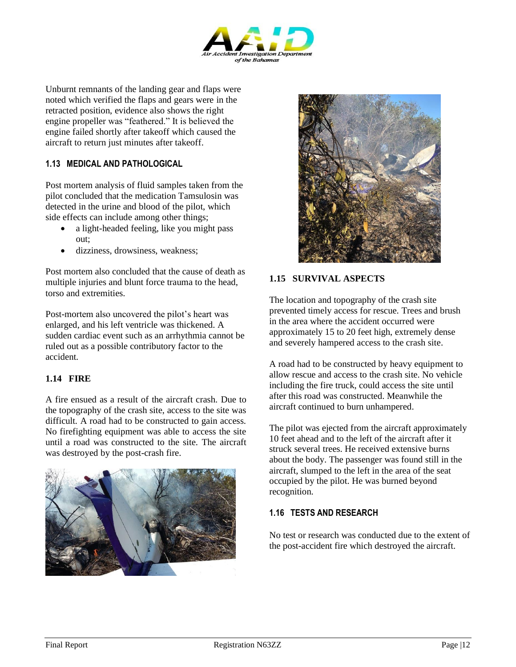

Unburnt remnants of the landing gear and flaps were noted which verified the flaps and gears were in the retracted position, evidence also shows the right engine propeller was "feathered." It is believed the engine failed shortly after takeoff which caused the aircraft to return just minutes after takeoff.

#### <span id="page-11-0"></span>**1.13 MEDICAL AND PATHOLOGICAL**

Post mortem analysis of fluid samples taken from the pilot concluded that the medication Tamsulosin was detected in the urine and blood of the pilot, which side effects can include among other things;

- a light-headed feeling, like you might pass out;
- dizziness, drowsiness, weakness;

Post mortem also concluded that the cause of death as multiple injuries and blunt force trauma to the head, torso and extremities.

Post-mortem also uncovered the pilot's heart was enlarged, and his left ventricle was thickened. A sudden cardiac event such as an arrhythmia cannot be ruled out as a possible contributory factor to the accident.

#### <span id="page-11-1"></span>**1.14 FIRE**

A fire ensued as a result of the aircraft crash. Due to the topography of the crash site, access to the site was difficult. A road had to be constructed to gain access. No firefighting equipment was able to access the site until a road was constructed to the site. The aircraft was destroyed by the post-crash fire.





#### <span id="page-11-2"></span>**1.15 SURVIVAL ASPECTS**

The location and topography of the crash site prevented timely access for rescue. Trees and brush in the area where the accident occurred were approximately 15 to 20 feet high, extremely dense and severely hampered access to the crash site.

A road had to be constructed by heavy equipment to allow rescue and access to the crash site. No vehicle including the fire truck, could access the site until after this road was constructed. Meanwhile the aircraft continued to burn unhampered.

The pilot was ejected from the aircraft approximately 10 feet ahead and to the left of the aircraft after it struck several trees. He received extensive burns about the body. The passenger was found still in the aircraft, slumped to the left in the area of the seat occupied by the pilot. He was burned beyond recognition.

#### <span id="page-11-3"></span>**1.16 TESTS AND RESEARCH**

No test or research was conducted due to the extent of the post-accident fire which destroyed the aircraft.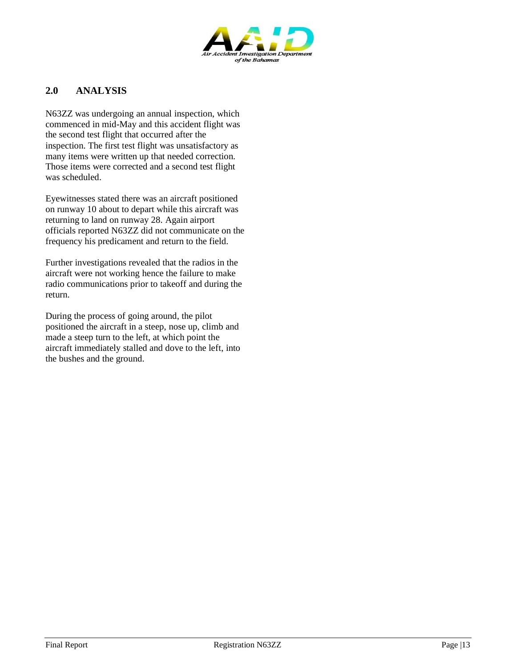

# <span id="page-12-0"></span>**2.0 ANALYSIS**

N63ZZ was undergoing an annual inspection, which commenced in mid-May and this accident flight was the second test flight that occurred after the inspection. The first test flight was unsatisfactory as many items were written up that needed correction. Those items were corrected and a second test flight was scheduled.

Eyewitnesses stated there was an aircraft positioned on runway 10 about to depart while this aircraft was returning to land on runway 28. Again airport officials reported N63ZZ did not communicate on the frequency his predicament and return to the field.

Further investigations revealed that the radios in the aircraft were not working hence the failure to make radio communications prior to takeoff and during the return.

During the process of going around, the pilot positioned the aircraft in a steep, nose up, climb and made a steep turn to the left, at which point the aircraft immediately stalled and dove to the left, into the bushes and the ground.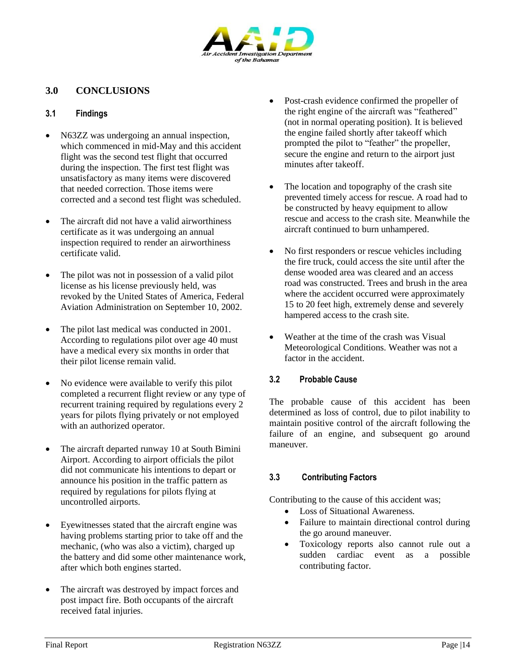

# <span id="page-13-0"></span>**3.0 CONCLUSIONS**

#### <span id="page-13-1"></span>**3.1 Findings**

- N63ZZ was undergoing an annual inspection, which commenced in mid-May and this accident flight was the second test flight that occurred during the inspection. The first test flight was unsatisfactory as many items were discovered that needed correction. Those items were corrected and a second test flight was scheduled.
- The aircraft did not have a valid airworthiness certificate as it was undergoing an annual inspection required to render an airworthiness certificate valid.
- The pilot was not in possession of a valid pilot license as his license previously held, was revoked by the United States of America, Federal Aviation Administration on September 10, 2002.
- The pilot last medical was conducted in 2001. According to regulations pilot over age 40 must have a medical every six months in order that their pilot license remain valid.
- No evidence were available to verify this pilot completed a recurrent flight review or any type of recurrent training required by regulations every 2 years for pilots flying privately or not employed with an authorized operator.
- The aircraft departed runway 10 at South Bimini Airport. According to airport officials the pilot did not communicate his intentions to depart or announce his position in the traffic pattern as required by regulations for pilots flying at uncontrolled airports.
- Eyewitnesses stated that the aircraft engine was having problems starting prior to take off and the mechanic, (who was also a victim), charged up the battery and did some other maintenance work, after which both engines started.
- The aircraft was destroyed by impact forces and post impact fire. Both occupants of the aircraft received fatal injuries.
- Post-crash evidence confirmed the propeller of the right engine of the aircraft was "feathered" (not in normal operating position). It is believed the engine failed shortly after takeoff which prompted the pilot to "feather" the propeller, secure the engine and return to the airport just minutes after takeoff.
- The location and topography of the crash site prevented timely access for rescue. A road had to be constructed by heavy equipment to allow rescue and access to the crash site. Meanwhile the aircraft continued to burn unhampered.
- No first responders or rescue vehicles including the fire truck, could access the site until after the dense wooded area was cleared and an access road was constructed. Trees and brush in the area where the accident occurred were approximately 15 to 20 feet high, extremely dense and severely hampered access to the crash site.
- Weather at the time of the crash was Visual Meteorological Conditions. Weather was not a factor in the accident.

#### <span id="page-13-2"></span>**3.2 Probable Cause**

The probable cause of this accident has been determined as loss of control, due to pilot inability to maintain positive control of the aircraft following the failure of an engine, and subsequent go around maneuver.

#### <span id="page-13-3"></span>**3.3 Contributing Factors**

Contributing to the cause of this accident was;

- Loss of Situational Awareness.
- Failure to maintain directional control during the go around maneuver.
- Toxicology reports also cannot rule out a sudden cardiac event as a possible contributing factor.